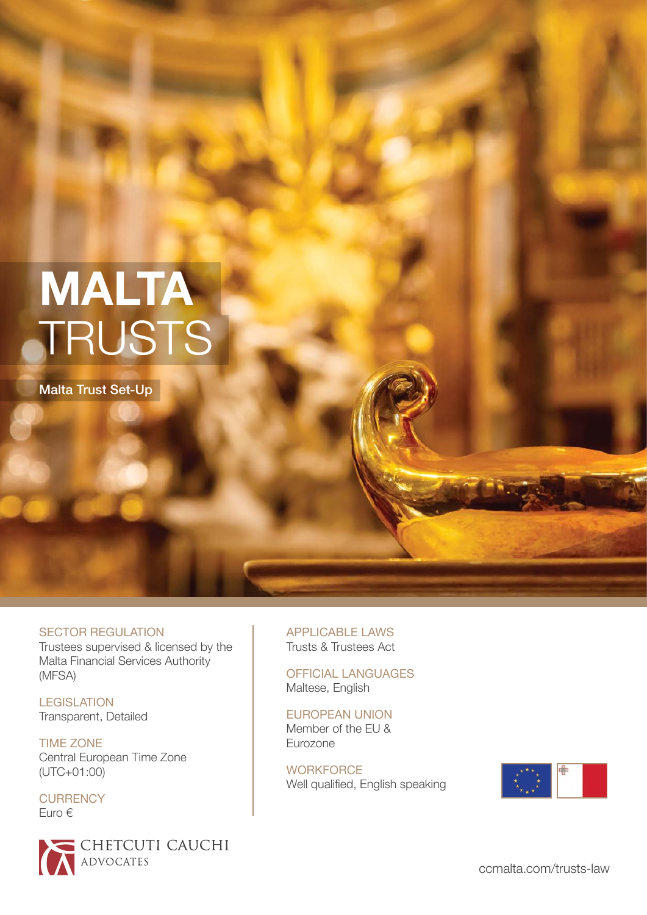# **MALTA**  TRUSTS

Malta Trust Set-Up

SECTOR REGULATION Trustees supervised & licensed by the Malta Financial Services Authority (MFSA)

**LEGISLATION** Transparent, Detailed

TIME ZONE Central European Time Zone (UTC+01:00)

**CURRENCY** Euro €



APPLICABLE LAWS Trusts & Trustees Act

OFFICIAL LANGUAGES Maltese, English

EUROPEAN UNION Member of the EU & Eurozone

**WORKFORCE** Well qualified, English speaking

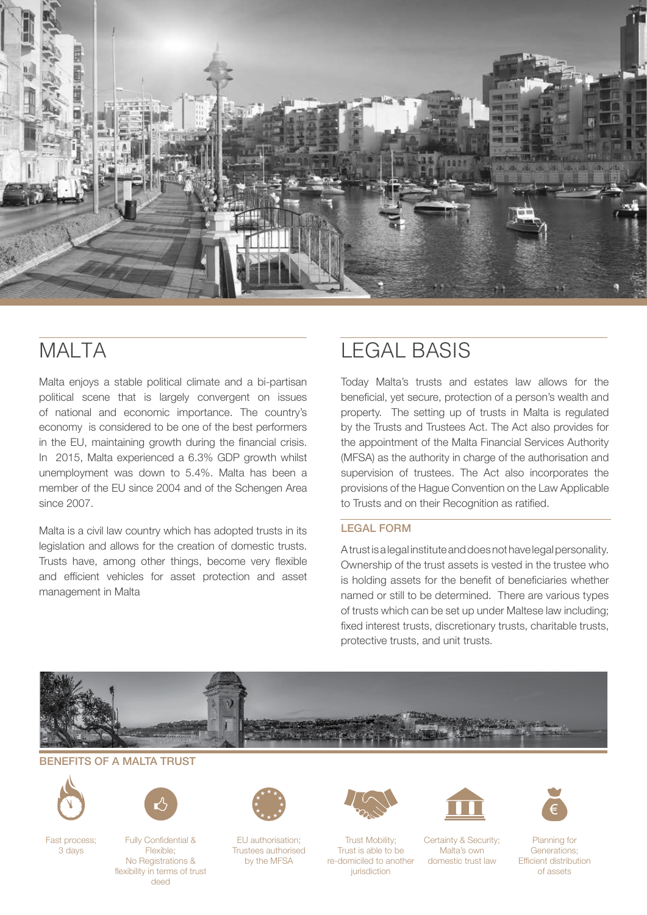

### **MALTA**

Malta enjoys a stable political climate and a bi-partisan political scene that is largely convergent on issues of national and economic importance. The country's economy is considered to be one of the best performers in the EU, maintaining growth during the financial crisis. In 2015, Malta experienced a 6.3% GDP growth whilst unemployment was down to 5.4%. Malta has been a member of the EU since 2004 and of the Schengen Area since 2007.

Malta is a civil law country which has adopted trusts in its legislation and allows for the creation of domestic trusts. Trusts have, among other things, become very flexible and efficient vehicles for asset protection and asset management in Malta

### LEGAL BASIS

Today Malta's trusts and estates law allows for the beneficial, yet secure, protection of a person's wealth and property. The setting up of trusts in Malta is regulated by the Trusts and Trustees Act. The Act also provides for the appointment of the Malta Financial Services Authority (MFSA) as the authority in charge of the authorisation and supervision of trustees. The Act also incorporates the provisions of the Hague Convention on the Law Applicable to Trusts and on their Recognition as ratified.

#### LEGAL FORM

A trust is a legal institute and does not have legal personality. Ownership of the trust assets is vested in the trustee who is holding assets for the benefit of beneficiaries whether named or still to be determined. There are various types of trusts which can be set up under Maltese law including; fixed interest trusts, discretionary trusts, charitable trusts, protective trusts, and unit trusts.



#### BENEFITS OF A MALTA TRUST



Fast process; 3 days



Fully Confidential & Flexible; No Registrations & flexibility in terms of trust deed



EU authorisation; Trustees authorised by the MFSA



Trust Mobility; Trust is able to be re-domiciled to another iurisdiction



Certainty & Security; Malta's own domestic trust law



Planning for Generations; Efficient distribution of assets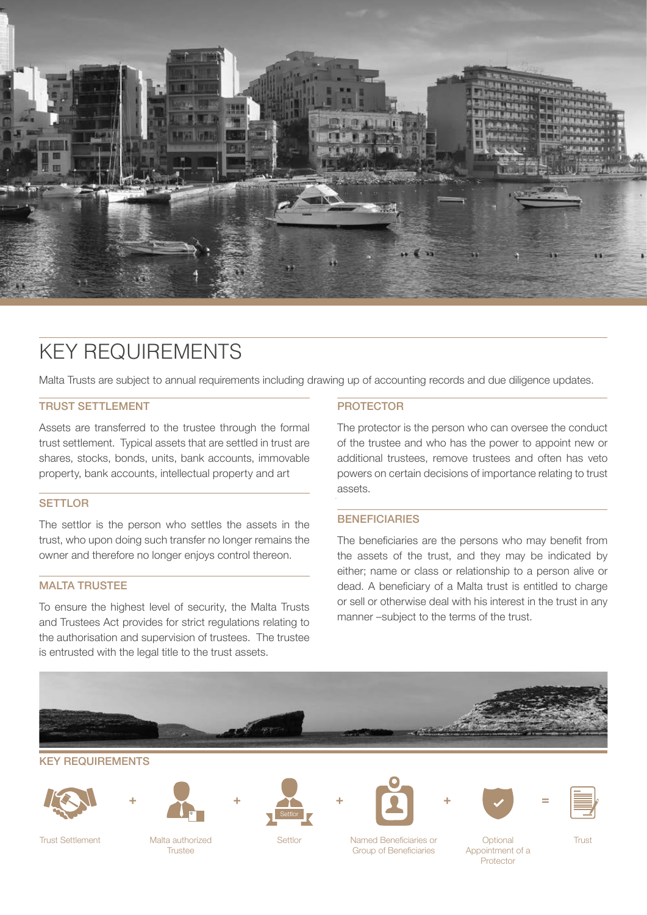

### KEY REQUIREMENTS

Malta Trusts are subject to annual requirements including drawing up of accounting records and due diligence updates.

#### TRUST SETTLEMENT

Assets are transferred to the trustee through the formal trust settlement. Typical assets that are settled in trust are shares, stocks, bonds, units, bank accounts, immovable property, bank accounts, intellectual property and art

#### **SETTLOR**

The settlor is the person who settles the assets in the trust, who upon doing such transfer no longer remains the owner and therefore no longer enjoys control thereon.

#### MALTA TRUSTEE

To ensure the highest level of security, the Malta Trusts and Trustees Act provides for strict regulations relating to the authorisation and supervision of trustees. The trustee is entrusted with the legal title to the trust assets.

#### PROTECTOR

The protector is the person who can oversee the conduct of the trustee and who has the power to appoint new or additional trustees, remove trustees and often has veto powers on certain decisions of importance relating to trust assets.

#### **BENEFICIARIES**

The beneficiaries are the persons who may benefit from the assets of the trust, and they may be indicated by either; name or class or relationship to a person alive or dead. A beneficiary of a Malta trust is entitled to charge or sell or otherwise deal with his interest in the trust in any manner –subject to the terms of the trust.